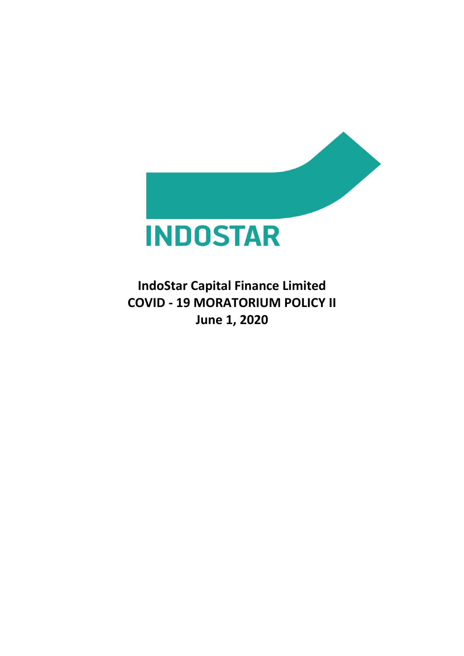

**IndoStar Capital Finance Limited COVID - 19 MORATORIUM POLICY II June 1, 2020**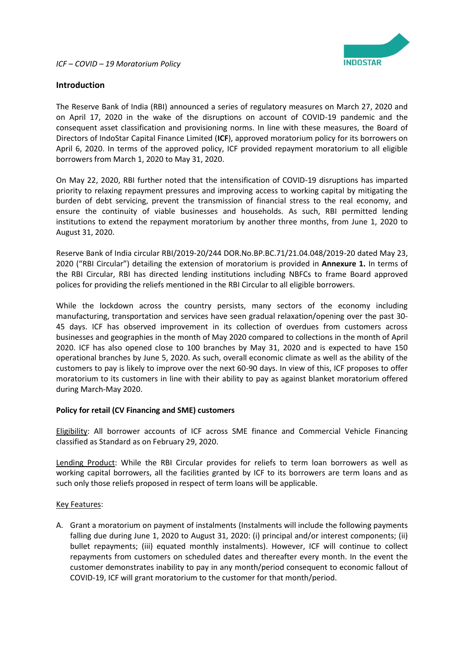

## **Introduction**

The Reserve Bank of India (RBI) announced a series of regulatory measures on March 27, 2020 and on April 17, 2020 in the wake of the disruptions on account of COVID-19 pandemic and the consequent asset classification and provisioning norms. In line with these measures, the Board of Directors of IndoStar Capital Finance Limited (**ICF**), approved moratorium policy for its borrowers on April 6, 2020. In terms of the approved policy, ICF provided repayment moratorium to all eligible borrowers from March 1, 2020 to May 31, 2020.

On May 22, 2020, RBI further noted that the intensification of COVID-19 disruptions has imparted priority to relaxing repayment pressures and improving access to working capital by mitigating the burden of debt servicing, prevent the transmission of financial stress to the real economy, and ensure the continuity of viable businesses and households. As such, RBI permitted lending institutions to extend the repayment moratorium by another three months, from June 1, 2020 to August 31, 2020.

Reserve Bank of India circular RBI/2019-20/244 DOR.No.BP.BC.71/21.04.048/2019-20 dated May 23, 2020 ("RBI Circular") detailing the extension of moratorium is provided in **Annexure 1.** In terms of the RBI Circular, RBI has directed lending institutions including NBFCs to frame Board approved polices for providing the reliefs mentioned in the RBI Circular to all eligible borrowers.

While the lockdown across the country persists, many sectors of the economy including manufacturing, transportation and services have seen gradual relaxation/opening over the past 30- 45 days. ICF has observed improvement in its collection of overdues from customers across businesses and geographies in the month of May 2020 compared to collections in the month of April 2020. ICF has also opened close to 100 branches by May 31, 2020 and is expected to have 150 operational branches by June 5, 2020. As such, overall economic climate as well as the ability of the customers to pay is likely to improve over the next 60-90 days. In view of this, ICF proposes to offer moratorium to its customers in line with their ability to pay as against blanket moratorium offered during March-May 2020.

#### **Policy for retail (CV Financing and SME) customers**

Eligibility: All borrower accounts of ICF across SME finance and Commercial Vehicle Financing classified as Standard as on February 29, 2020.

Lending Product: While the RBI Circular provides for reliefs to term loan borrowers as well as working capital borrowers, all the facilities granted by ICF to its borrowers are term loans and as such only those reliefs proposed in respect of term loans will be applicable.

#### Key Features:

A. Grant a moratorium on payment of instalments (Instalments will include the following payments falling due during June 1, 2020 to August 31, 2020: (i) principal and/or interest components; (ii) bullet repayments; (iii) equated monthly instalments). However, ICF will continue to collect repayments from customers on scheduled dates and thereafter every month. In the event the customer demonstrates inability to pay in any month/period consequent to economic fallout of COVID-19, ICF will grant moratorium to the customer for that month/period.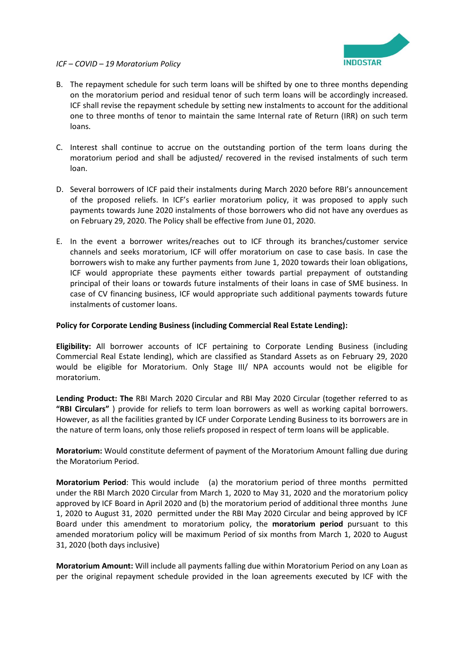

## *ICF – COVID – 19 Moratorium Policy*

- B. The repayment schedule for such term loans will be shifted by one to three months depending on the moratorium period and residual tenor of such term loans will be accordingly increased. ICF shall revise the repayment schedule by setting new instalments to account for the additional one to three months of tenor to maintain the same Internal rate of Return (IRR) on such term loans.
- C. Interest shall continue to accrue on the outstanding portion of the term loans during the moratorium period and shall be adjusted/ recovered in the revised instalments of such term loan.
- D. Several borrowers of ICF paid their instalments during March 2020 before RBI's announcement of the proposed reliefs. In ICF's earlier moratorium policy, it was proposed to apply such payments towards June 2020 instalments of those borrowers who did not have any overdues as on February 29, 2020. The Policy shall be effective from June 01, 2020.
- E. In the event a borrower writes/reaches out to ICF through its branches/customer service channels and seeks moratorium, ICF will offer moratorium on case to case basis. In case the borrowers wish to make any further payments from June 1, 2020 towards their loan obligations, ICF would appropriate these payments either towards partial prepayment of outstanding principal of their loans or towards future instalments of their loans in case of SME business. In case of CV financing business, ICF would appropriate such additional payments towards future instalments of customer loans.

## **Policy for Corporate Lending Business (including Commercial Real Estate Lending):**

**Eligibility:** All borrower accounts of ICF pertaining to Corporate Lending Business (including Commercial Real Estate lending), which are classified as Standard Assets as on February 29, 2020 would be eligible for Moratorium. Only Stage III/ NPA accounts would not be eligible for moratorium.

**Lending Product: The** RBI March 2020 Circular and RBI May 2020 Circular (together referred to as **"RBI Circulars"** ) provide for reliefs to term loan borrowers as well as working capital borrowers. However, as all the facilities granted by ICF under Corporate Lending Business to its borrowers are in the nature of term loans, only those reliefs proposed in respect of term loans will be applicable.

**Moratorium:** Would constitute deferment of payment of the Moratorium Amount falling due during the Moratorium Period.

**Moratorium Period**: This would include (a) the moratorium period of three months permitted under the RBI March 2020 Circular from March 1, 2020 to May 31, 2020 and the moratorium policy approved by ICF Board in April 2020 and (b) the moratorium period of additional three months June 1, 2020 to August 31, 2020 permitted under the RBI May 2020 Circular and being approved by ICF Board under this amendment to moratorium policy, the **moratorium period** pursuant to this amended moratorium policy will be maximum Period of six months from March 1, 2020 to August 31, 2020 (both days inclusive)

**Moratorium Amount:** Will include all payments falling due within Moratorium Period on any Loan as per the original repayment schedule provided in the loan agreements executed by ICF with the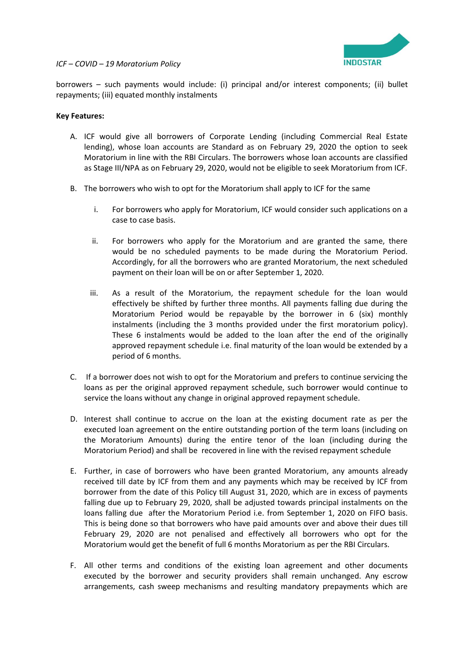



borrowers – such payments would include: (i) principal and/or interest components; (ii) bullet repayments; (iii) equated monthly instalments

#### **Key Features:**

- A. ICF would give all borrowers of Corporate Lending (including Commercial Real Estate lending), whose loan accounts are Standard as on February 29, 2020 the option to seek Moratorium in line with the RBI Circulars. The borrowers whose loan accounts are classified as Stage III/NPA as on February 29, 2020, would not be eligible to seek Moratorium from ICF.
- B. The borrowers who wish to opt for the Moratorium shall apply to ICF for the same
	- i. For borrowers who apply for Moratorium, ICF would consider such applications on a case to case basis.
	- ii. For borrowers who apply for the Moratorium and are granted the same, there would be no scheduled payments to be made during the Moratorium Period. Accordingly, for all the borrowers who are granted Moratorium, the next scheduled payment on their loan will be on or after September 1, 2020.
	- iii. As a result of the Moratorium, the repayment schedule for the loan would effectively be shifted by further three months. All payments falling due during the Moratorium Period would be repayable by the borrower in 6 (six) monthly instalments (including the 3 months provided under the first moratorium policy). These 6 instalments would be added to the loan after the end of the originally approved repayment schedule i.e. final maturity of the loan would be extended by a period of 6 months.
- C. If a borrower does not wish to opt for the Moratorium and prefers to continue servicing the loans as per the original approved repayment schedule, such borrower would continue to service the loans without any change in original approved repayment schedule.
- D. Interest shall continue to accrue on the loan at the existing document rate as per the executed loan agreement on the entire outstanding portion of the term loans (including on the Moratorium Amounts) during the entire tenor of the loan (including during the Moratorium Period) and shall be recovered in line with the revised repayment schedule
- E. Further, in case of borrowers who have been granted Moratorium, any amounts already received till date by ICF from them and any payments which may be received by ICF from borrower from the date of this Policy till August 31, 2020, which are in excess of payments falling due up to February 29, 2020, shall be adjusted towards principal instalments on the loans falling due after the Moratorium Period i.e. from September 1, 2020 on FIFO basis. This is being done so that borrowers who have paid amounts over and above their dues till February 29, 2020 are not penalised and effectively all borrowers who opt for the Moratorium would get the benefit of full 6 months Moratorium as per the RBI Circulars.
- F. All other terms and conditions of the existing loan agreement and other documents executed by the borrower and security providers shall remain unchanged. Any escrow arrangements, cash sweep mechanisms and resulting mandatory prepayments which are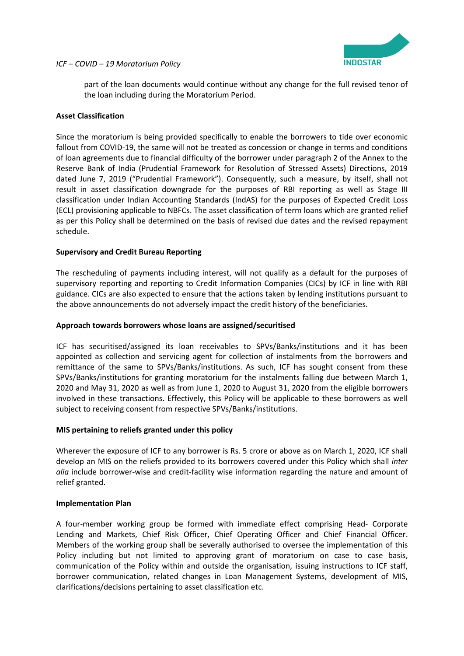

## *ICF – COVID – 19 Moratorium Policy*

part of the loan documents would continue without any change for the full revised tenor of the loan including during the Moratorium Period.

## **Asset Classification**

Since the moratorium is being provided specifically to enable the borrowers to tide over economic fallout from COVID-19, the same will not be treated as concession or change in terms and conditions of loan agreements due to financial difficulty of the borrower under paragraph 2 of the Annex to the Reserve Bank of India (Prudential Framework for Resolution of Stressed Assets) Directions, 2019 dated June 7, 2019 ("Prudential Framework"). Consequently, such a measure, by itself, shall not result in asset classification downgrade for the purposes of RBI reporting as well as Stage III classification under Indian Accounting Standards (IndAS) for the purposes of Expected Credit Loss (ECL) provisioning applicable to NBFCs. The asset classification of term loans which are granted relief as per this Policy shall be determined on the basis of revised due dates and the revised repayment schedule.

## **Supervisory and Credit Bureau Reporting**

The rescheduling of payments including interest, will not qualify as a default for the purposes of supervisory reporting and reporting to Credit Information Companies (CICs) by ICF in line with RBI guidance. CICs are also expected to ensure that the actions taken by lending institutions pursuant to the above announcements do not adversely impact the credit history of the beneficiaries.

### **Approach towards borrowers whose loans are assigned/securitised**

ICF has securitised/assigned its loan receivables to SPVs/Banks/institutions and it has been appointed as collection and servicing agent for collection of instalments from the borrowers and remittance of the same to SPVs/Banks/institutions. As such, ICF has sought consent from these SPVs/Banks/institutions for granting moratorium for the instalments falling due between March 1, 2020 and May 31, 2020 as well as from June 1, 2020 to August 31, 2020 from the eligible borrowers involved in these transactions. Effectively, this Policy will be applicable to these borrowers as well subject to receiving consent from respective SPVs/Banks/institutions.

#### **MIS pertaining to reliefs granted under this policy**

Wherever the exposure of ICF to any borrower is Rs. 5 crore or above as on March 1, 2020, ICF shall develop an MIS on the reliefs provided to its borrowers covered under this Policy which shall *inter alia* include borrower-wise and credit-facility wise information regarding the nature and amount of relief granted.

#### **Implementation Plan**

A four-member working group be formed with immediate effect comprising Head- Corporate Lending and Markets, Chief Risk Officer, Chief Operating Officer and Chief Financial Officer. Members of the working group shall be severally authorised to oversee the implementation of this Policy including but not limited to approving grant of moratorium on case to case basis, communication of the Policy within and outside the organisation, issuing instructions to ICF staff, borrower communication, related changes in Loan Management Systems, development of MIS, clarifications/decisions pertaining to asset classification etc.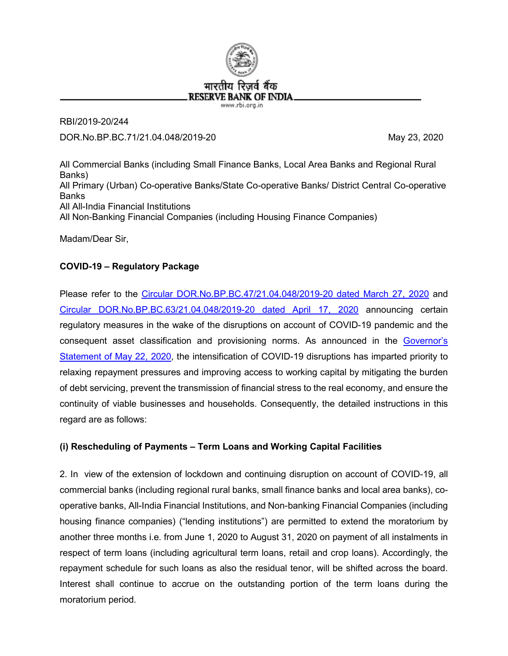

RBI/2019-20/244 DOR.No.BP.BC.71/21.04.048/2019-20 May 23, 2020

All Commercial Banks (including Small Finance Banks, Local Area Banks and Regional Rural Banks) All Primary (Urban) Co-operative Banks/State Co-operative Banks/ District Central Co-operative Banks All All-India Financial Institutions All Non-Banking Financial Companies (including Housing Finance Companies)

Madam/Dear Sir,

# **COVID-19 – Regulatory Package**

Please refer to the [Circular DOR.No.BP.BC.47/21.04.048/2019-20 dated March 27, 2020](https://www.rbi.org.in/Scripts/NotificationUser.aspx?Id=11835&Mode=0) and [Circular DOR.No.BP.BC.63/21.04.048/2019-20 dated April 17, 2020](https://www.rbi.org.in/Scripts/NotificationUser.aspx?Id=11872&Mode=0) announcing certain regulatory measures in the wake of the disruptions on account of COVID-19 pandemic and the consequent asset classification and provisioning norms. As announced in the [Governor's](https://www.rbi.org.in/Scripts/bs_viewcontent.aspx?Id=3859) [Statement of May](https://www.rbi.org.in/Scripts/bs_viewcontent.aspx?Id=3859) 22, 2020, the intensification of COVID-19 disruptions has imparted priority to relaxing repayment pressures and improving access to working capital by mitigating the burden of debt servicing, prevent the transmission of financial stress to the real economy, and ensure the continuity of viable businesses and households. Consequently, the detailed instructions in this regard are as follows:

## **(i) Rescheduling of Payments – Term Loans and Working Capital Facilities**

2. In view of the extension of lockdown and continuing disruption on account of COVID-19, all commercial banks (including regional rural banks, small finance banks and local area banks), cooperative banks, All-India Financial Institutions, and Non-banking Financial Companies (including housing finance companies) ("lending institutions") are permitted to extend the moratorium by another three months i.e. from June 1, 2020 to August 31, 2020 on payment of all instalments in respect of term loans (including agricultural term loans, retail and crop loans). Accordingly, the repayment schedule for such loans as also the residual tenor, will be shifted across the board. Interest shall continue to accrue on the outstanding portion of the term loans during the moratorium period.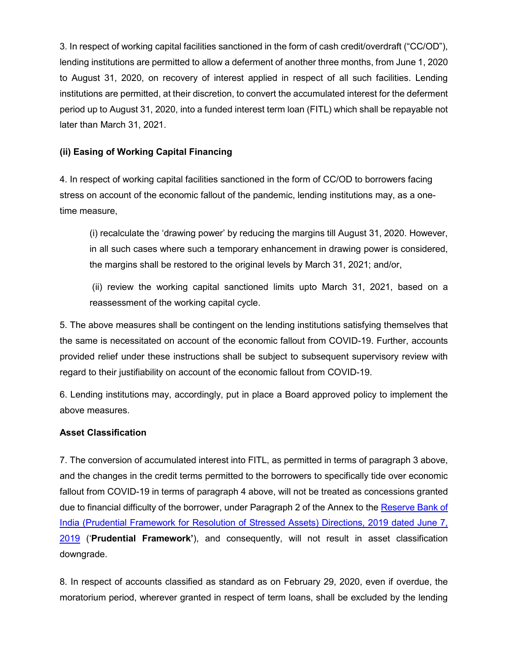3. In respect of working capital facilities sanctioned in the form of cash credit/overdraft ("CC/OD"), lending institutions are permitted to allow a deferment of another three months, from June 1, 2020 to August 31, 2020, on recovery of interest applied in respect of all such facilities. Lending institutions are permitted, at their discretion, to convert the accumulated interest for the deferment period up to August 31, 2020, into a funded interest term loan (FITL) which shall be repayable not later than March 31, 2021.

# **(ii) Easing of Working Capital Financing**

4. In respect of working capital facilities sanctioned in the form of CC/OD to borrowers facing stress on account of the economic fallout of the pandemic, lending institutions may, as a onetime measure,

(i) recalculate the 'drawing power' by reducing the margins till August 31, 2020. However, in all such cases where such a temporary enhancement in drawing power is considered, the margins shall be restored to the original levels by March 31, 2021; and/or,

(ii) review the working capital sanctioned limits upto March 31, 2021, based on a reassessment of the working capital cycle.

5. The above measures shall be contingent on the lending institutions satisfying themselves that the same is necessitated on account of the economic fallout from COVID-19. Further, accounts provided relief under these instructions shall be subject to subsequent supervisory review with regard to their justifiability on account of the economic fallout from COVID-19.

6. Lending institutions may, accordingly, put in place a Board approved policy to implement the above measures.

# **Asset Classification**

7. The conversion of accumulated interest into FITL, as permitted in terms of paragraph 3 above, and the changes in the credit terms permitted to the borrowers to specifically tide over economic fallout from COVID-19 in terms of paragraph 4 above, will not be treated as concessions granted due to financial difficulty of the borrower, under Paragraph 2 of the Annex to the [Reserve Bank of](https://www.rbi.org.in/Scripts/NotificationUser.aspx?Id=11580&Mode=0)  [India \(Prudential Framework for Resolution of Stressed Assets\) Directions, 2019 dated June 7,](https://www.rbi.org.in/Scripts/NotificationUser.aspx?Id=11580&Mode=0)  [2019](https://www.rbi.org.in/Scripts/NotificationUser.aspx?Id=11580&Mode=0) ('**Prudential Framework'**), and consequently, will not result in asset classification downgrade.

8. In respect of accounts classified as standard as on February 29, 2020, even if overdue, the moratorium period, wherever granted in respect of term loans, shall be excluded by the lending